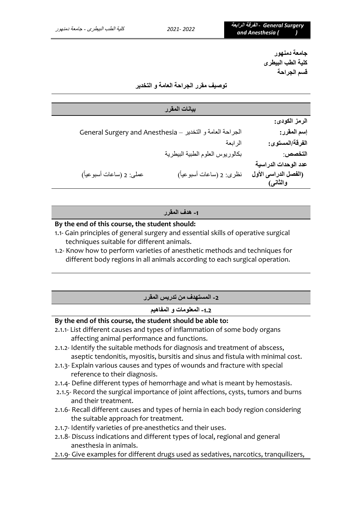**جامعة دمنهور كلية الطب البيطرى قسم الجراحة** 

**توصيف مقرر الجراحة العامة و التخدير** 

|                          | بيانات المقرر                                             |                      |
|--------------------------|-----------------------------------------------------------|----------------------|
|                          |                                                           | الرمز الكودي:        |
|                          | الجراحة العامة و التخدير - General Surgery and Anesthesia | إسم المقرر:          |
|                          | الرابعة                                                   | الفرقة/المستوى:      |
|                          | بكالوريوس العلوم الطبية البيطرية                          | التخصص:              |
|                          |                                                           | عدد الوحدات الدراسية |
| عملي: 2 (ساعات أسبوعياً) | نظري: 2 (ساعات أسبوعياً)                                  | (الفصل الدراسي الأول |
|                          |                                                           | والثانس)             |

**-1 هدف المقرر** 

### **By the end of this course, the student should:**

- 1.1- Gain principles of general surgery and essential skills of operative surgical techniques suitable for different animals.
- 1.2- Know how to perform varieties of anesthetic methods and techniques for different body regions in all animals according to each surgical operation.

| 2- المستهدف من تدريس المقرر |
|-----------------------------|
|-----------------------------|

## **-1.2 المعلومات و المفاهيم**

### **By the end of this course, the student should be able to:**

- 2.1.1- List different causes and types of inflammation of some body organs affecting animal performance and functions.
- 2.1.2- Identify the suitable methods for diagnosis and treatment of abscess, aseptic tendonitis, myositis, bursitis and sinus and fistula with minimal cost.
- 2.1.3- Explain various causes and types of wounds and fracture with special reference to their diagnosis.
- 2.1.4- Define different types of hemorrhage and what is meant by hemostasis.
- 2.1.5- Record the surgical importance of joint affections, cysts, tumors and burns and their treatment.
- 2.1.6- Recall different causes and types of hernia in each body region considering the suitable approach for treatment.
- 2.1.7- Identify varieties of pre-anesthetics and their uses.
- 2.1.8- Discuss indications and different types of local, regional and general anesthesia in animals.
- 2.1.9- Give examples for different drugs used as sedatives, narcotics, tranquilizers,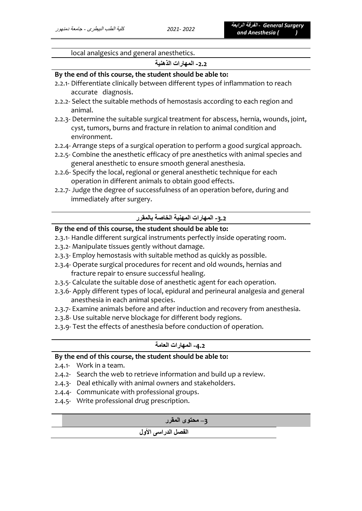local analgesics and general anesthetics.

# **-2.2 المهارات الذهنية**

### **By the end of this course, the student should be able to:**

- 2.2.1- Differentiate clinically between different types of inflammation to reach accurate diagnosis.
- 2.2.2- Select the suitable methods of hemostasis according to each region and animal.
- 2.2.3- Determine the suitable surgical treatment for abscess, hernia, wounds, joint, cyst, tumors, burns and fracture in relation to animal condition and environment.
- 2.2.4- Arrange steps of a surgical operation to perform a good surgical approach.
- 2.2.5- Combine the anesthetic efficacy of pre anesthetics with animal species and general anesthetic to ensure smooth general anesthesia.
- 2.2.6- Specify the local, regional or general anesthetic technique for each operation in different animals to obtain good effects.
- 2.2.7- Judge the degree of successfulness of an operation before, during and immediately after surgery.

# **-3.2 المهارات المهنية الخاصة بالمقرر**

## **By the end of this course, the student should be able to:**

- 2.3.1- Handle different surgical instruments perfectly inside operating room.
- 2.3.2- Manipulate tissues gently without damage.
- 2.3.3- Employ hemostasis with suitable method as quickly as possible.
- 2.3.4- Operate surgical procedures for recent and old wounds, hernias and fracture repair to ensure successful healing.
- 2.3.5- Calculate the suitable dose of anesthetic agent for each operation.
- 2.3.6- Apply different types of local, epidural and perineural analgesia and general anesthesia in each animal species.
- 2.3.7- Examine animals before and after induction and recovery from anesthesia.
- 2.3.8- Use suitable nerve blockage for different body regions.
- 2.3.9- Test the effects of anesthesia before conduction of operation.

### **-4.2 المهارات العامة**

## **By the end of this course, the student should be able to:**

- 2.4.1- Work in a team.
- 2.4.2- Search the web to retrieve information and build up a review.
- 2.4.3- Deal ethically with animal owners and stakeholders.
- 2.4.4- Communicate with professional groups.
- 2.4.5- Write professional drug prescription.

### **3– محتوى المقرر**

### **الفصل الدراسى األول**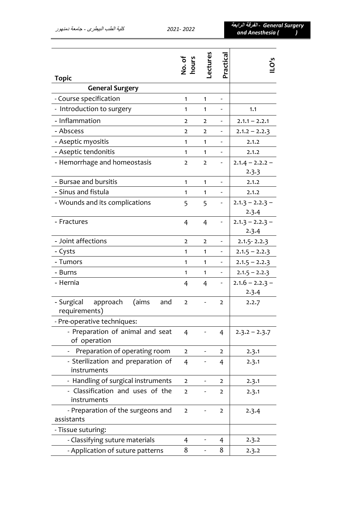|                                                      | No. of<br>hours | ectures        | Practical                |                            |
|------------------------------------------------------|-----------------|----------------|--------------------------|----------------------------|
| <b>Topic</b>                                         |                 |                |                          |                            |
| <b>General Surgery</b>                               |                 |                |                          |                            |
| - Course specification                               | 1               | $\mathbf{1}$   |                          |                            |
| - Introduction to surgery                            | 1               | $\mathbf{1}$   |                          | 1.1                        |
| - Inflammation                                       | $\overline{2}$  | $\overline{2}$ |                          | $2.1.1 - 2.2.1$            |
| - Abscess                                            | $\overline{2}$  | $\overline{2}$ |                          | $2.1.2 - 2.2.3$            |
| - Aseptic myositis                                   | 1               | $\mathbf{1}$   |                          | 2.1.2                      |
| - Aseptic tendonitis                                 | 1               | 1              |                          | 2.1.2                      |
| - Hemorrhage and homeostasis                         | $\overline{2}$  | $\overline{2}$ |                          | $2.1.4 - 2.2.2 -$<br>2.3.3 |
| - Bursae and bursitis                                | $\mathbf{1}$    | $\mathbf{1}$   |                          | 2.1.2                      |
| - Sinus and fistula                                  | 1               | 1              |                          | 2.1.2                      |
| - Wounds and its complications                       | 5               | 5              |                          | $2.1.3 - 2.2.3 -$<br>2.3.4 |
| - Fractures                                          | $\overline{4}$  | 4              |                          | $2.1.3 - 2.2.3 -$<br>2.3.4 |
| - Joint affections                                   | $\overline{2}$  | $\overline{2}$ |                          | $2.1.5 - 2.2.3$            |
| - Cysts                                              | 1               | $\mathbf{1}$   |                          | $2.1.5 - 2.2.3$            |
| - Tumors                                             | 1               | $\mathbf{1}$   | $\overline{\phantom{0}}$ | $2.1.5 - 2.2.3$            |
| - Burns                                              | 1               | $\mathbf{1}$   | $\overline{\phantom{0}}$ | $2.1.5 - 2.2.3$            |
| - Hernia                                             | 4               | 4              | -                        | $2.1.6 - 2.2.3 -$          |
|                                                      |                 |                |                          | 2.3.4                      |
| - Surgical approach<br>(aims<br>and<br>requirements) | $\overline{2}$  |                | $\overline{2}$           | 2.2.7                      |
| - Pre-operative techniques:                          |                 |                |                          |                            |
| - Preparation of animal and seat<br>of operation     | $\overline{4}$  |                | 4                        | $2.3.2 - 2.3.7$            |
| Preparation of operating room                        | $\overline{2}$  |                | 2                        | 2.3.1                      |
| - Sterilization and preparation of<br>instruments    | $\overline{4}$  |                | 4                        | 2.3.1                      |
| - Handling of surgical instruments                   | $\overline{2}$  |                | 2                        | 2.3.1                      |
| - Classification and uses of the<br>instruments      | $\overline{2}$  |                | $\overline{2}$           | 2.3.1                      |
| - Preparation of the surgeons and<br>assistants      | $\overline{2}$  |                | 2                        | 2.3.4                      |
| - Tissue suturing:                                   |                 |                |                          |                            |
| - Classifying suture materials                       | 4               |                | 4                        | 2.3.2                      |
| - Application of suture patterns                     | 8               |                | 8                        | 2.3.2                      |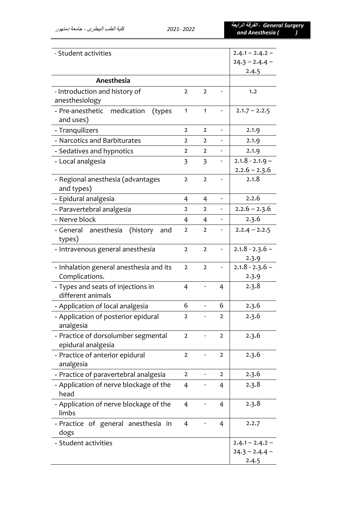*Surgery General -* **الفرقة الرابعة***and Anesthesia ( )*

| - Student activities                                      | $2.4.1 - 2.4.2 -$<br>$24.3 - 2.4.4 -$<br>2.4.5 |                         |                          |                                      |
|-----------------------------------------------------------|------------------------------------------------|-------------------------|--------------------------|--------------------------------------|
| Anesthesia                                                |                                                |                         |                          |                                      |
| - Introduction and history of<br>anesthesiology           | $\overline{2}$                                 | $\overline{2}$          |                          | 1.2                                  |
| - Pre-anesthetic medication<br>(types)<br>and uses)       | $\mathbf{1}$                                   | $\mathbf{1}$            |                          | $2.1.7 - 2.2.5$                      |
| - Tranquilizers                                           | $\overline{2}$                                 | $\overline{2}$          | $\overline{a}$           | 2.1.9                                |
| - Narcotics and Barbiturates                              | $\overline{2}$                                 | $\overline{2}$          |                          | 2.1.9                                |
| - Sedatives and hypnotics                                 | $\overline{2}$                                 | $\overline{2}$          | $\overline{\phantom{0}}$ | 2.1.9                                |
| - Local analgesia                                         | $\overline{\mathbf{3}}$                        | $\overline{\mathbf{3}}$ |                          | $2.1.8 - 2.1.9$ –<br>$2.2.6 - 2.3.6$ |
| - Regional anesthesia (advantages<br>and types)           | $\overline{2}$                                 | $\overline{2}$          |                          | 2.1.8                                |
| - Epidural analgesia                                      | 4                                              | 4                       |                          | 2.2.6                                |
| - Paravertebral analgesia                                 | $\overline{2}$                                 | $\overline{2}$          |                          | $2.2.6 - 2.3.6$                      |
| - Nerve block                                             | 4                                              | 4                       |                          | 2.3.6                                |
| - General anesthesia<br>(history)<br>and<br>types)        | $\overline{2}$                                 | $\overline{2}$          |                          | $2.2.4 - 2.2.5$                      |
| - Intravenous general anesthesia                          | $\overline{2}$                                 | $\overline{2}$          | $\blacksquare$           | $2.1.8 - 2.3.6 -$<br>2.3.9           |
| - Inhalation general anesthesia and its<br>Complications. |                                                | $\overline{2}$          |                          | $2.1.8 - 2.3.6 -$<br>2.3.9           |
| - Types and seats of injections in<br>different animals   |                                                |                         | 4                        | 2.3.8                                |
| - Application of local analgesia                          |                                                | $\frac{1}{2}$           | 6                        | 2.3.6                                |
| - Application of posterior epidural<br>analgesia          | 2                                              |                         | 2                        | 2.3.6                                |
| - Practice of dorsolumber segmental<br>epidural analgesia |                                                |                         | 2                        | 2.3.6                                |
| - Practice of anterior epidural<br>analgesia              |                                                | -                       | $\overline{2}$           | 2.3.6                                |
| - Practice of paravertebral analgesia                     | $\overline{2}$                                 |                         | $\overline{2}$           | 2.3.6                                |
| - Application of nerve blockage of the<br>head            | $\overline{4}$                                 |                         | 4                        | 2.3.8                                |
| - Application of nerve blockage of the<br>limbs           | $\overline{4}$                                 |                         | 4                        | 2.3.8                                |
| - Practice of general anesthesia in<br>dogs               | $\overline{4}$                                 |                         | 4                        | 2.2.7                                |
| - Student activities                                      |                                                |                         |                          | $2.4.1 - 2.4.2 -$                    |
|                                                           |                                                |                         |                          | $24.3 - 2.4.4 -$                     |
|                                                           |                                                |                         |                          | 2.4.5                                |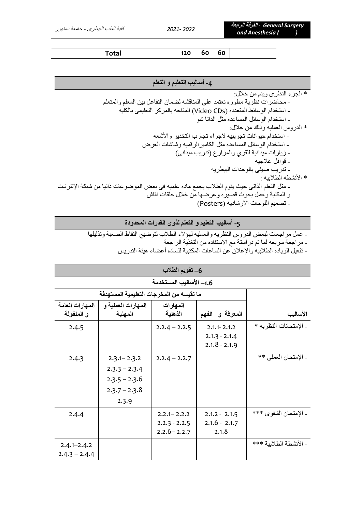**Total 120 60 60**

## **-4 أساليب التعليم و التعلم**

\* الجزء النظرى ويتم من خالل:

- محاضرات نظرية مطوره تعتمد على المناقشه لضمان التفاعل بين المعلم والمتعلم
	- استخدام الوسائط المتعدده )CDs Video )المتاحه بالمركز التعليمى بالكليه - استخدام الوسائل المساعده مثل الداتا شو
		- \* الدروس العمليه وذلك من خالل:
		- استخدام حيوانات تجريبيه الجراء تجارب التخدير واألشعه
		- استخدام الوسائل المساعده مثل الكاميرالرقميه وشاشات العرض
			- زيارات ميدانية للقري والمزارع )تدريب ميدانى(
				- قوافل عالجيه
				- تدريب صيفى بالوحدات البيطريه
				- \* األنشطه الطالبيه :
- مثل التعلم الذاتى حيث يقوم الطالب بجمع ماده علميه فى بعض الموضوعات ذاتيا من شبكة اإلنترنت و المكتبة وعمل بحوث قصيره وعرضها من خالل حلقات نقاش
	- تصميم اللوحات االرشاديه )Posters)

**-5 أساليب التعليم و التعلم ل ذوى القدرات المحدودة** 

- عمل مراجعات لبعض الدروس النظريه والعمليه لهؤالء الطالب لتوضيح النقاط الصعبة وتذليلها

- مراجعة سريعه لما تم دراستة مع االستفاده من التغذية الراجعة

- تفعيل الرياده الطالبيه واإلعالن عن الساعات المكتبية للساده أعضاء هيئة التدريس

| 6– تقويم الطلاب         |                                          |                 |                 |                        |
|-------------------------|------------------------------------------|-----------------|-----------------|------------------------|
| 1.6– الأساليب المستخدمة |                                          |                 |                 |                        |
|                         | ما تقيسه من المخرجات التعليمية المستهدفة |                 |                 |                        |
| المهارات العامة         | المهارات العملية و                       | المهارات        |                 |                        |
| و المنقولة              | المهنية                                  | الذهنية         | المعرفة و الفهم | الأساليب               |
| 2.4.5                   |                                          | $2.2.4 - 2.2.5$ | $2.1.1 - 2.1.2$ | - الإمتحانات النظريه * |
|                         |                                          |                 | $2.1.3 - 2.1.4$ |                        |
|                         |                                          |                 | $2.1.8 - 2.1.9$ |                        |
| 2.4.3                   | $2.3.1 - 2.3.2$                          | $2.2.4 - 2.2.7$ |                 | - الإمتحان العملي **   |
|                         | $2.3.3 - 2.3.4$                          |                 |                 |                        |
|                         | $2.3.5 - 2.3.6$                          |                 |                 |                        |
|                         | $2.3.7 - 2.3.8$                          |                 |                 |                        |
|                         | 2.3.9                                    |                 |                 |                        |
| 2.4.4                   |                                          | $2.2.1 - 2.2.2$ | $2.1.2 - 2.1.5$ | - الإمتحان الشفوى ***  |
|                         |                                          | $2.2.3 - 2.2.5$ | $2.1.6 - 2.1.7$ |                        |
|                         |                                          | $2.2.6 - 2.2.7$ | 2.1.8           |                        |
| $2.4.1 - 2.4.2$         |                                          |                 |                 | - الأنشطة الطلابية *** |
| $2.4.3 - 2.4.4$         |                                          |                 |                 |                        |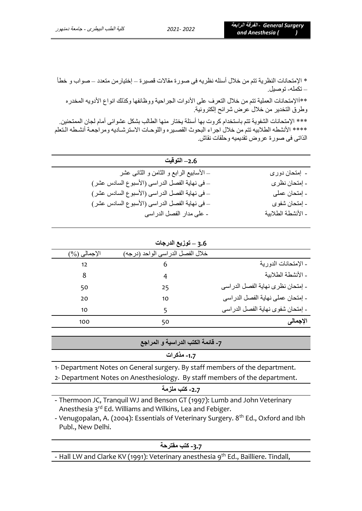الإجمالي (%)

\* اإلمتحانات النظرية تتم من خالل أسئله نظريه فى صورة مقاالت قصيرة – إختيارمن متعدد – صواب و خطأ – تكمله- توصيل.

\*\*آاإلمتحانات العملية تتم من خالل التعرف على األدوات الجراحية ووظائفها وكذلك انواع األدويه المخدره وطرق التخدير من خالل عرض شرائح إلكترونية.

\*\*\* اإلمتحانات الشفوية تتم باستخدام كروت بها أسئلة يختار منها الطالب بشكل عشوائى أمام لجان الممتحنين. \*\*\*\* األنشطه الطالبيه تتم من خالل اجراء البحوث القصتيره واللوحتات االسترشتاديه ومراجعتة أنشتطه التتعلم الذاتى فى صورة عروض تقديميه وحلقات نقاش.

| 2.6– التوفيت                                  |                    |
|-----------------------------------------------|--------------------|
| _ الأسابيع الرابع و الثامن و الثانـي عشر      | ۔ إمتحان دوری      |
| _ في نهاية الفصل الدراسي (الأسبوع السادس عشر) | - إمتحان نظر ي     |
| – في نهاية الفصل الدراسي (الأسبوع السادس عشر) | - إمتحان عملي      |
| _ في نهاية الفصل الدراسي (الأسبوع السادس عشر) | ۔ إمتحان شفوى      |
| - على مدار الفصل الدراسي                      | ـ الأنشطة الطلابية |

|          | 3.6 – توزيع الدرجات              |                      |
|----------|----------------------------------|----------------------|
| الإجمالي | خلال الفصل الدراسي الواحد (درجه) |                      |
| 12       |                                  | - الإمتحانات الدورية |

| .                                 |    | $\sim$ |
|-----------------------------------|----|--------|
| ـ الأنشطة الطلابية                |    |        |
| - إمتحان نظرى نهاية الفصل الدراسي | 25 | 50     |
| - إمتحان عملي نهاية الفصل الدراسي | 10 | 20     |
| - إمتحان شفوى نهاية الفصل الدراسي |    | 10     |
| الإجمالي                          | 50 | 100    |

**-7 قائمة الكتب الدراسية و المراجع**

# **-1.7 مذكرات**

1- Department Notes on General surgery. By staff members of the department.

2- Department Notes on Anesthesiology. By staff members of the department.

**-2.7 كتب ملزمة**

- Thermoon JC, Tranquil WJ and Benson GT (1997): Lumb and John Veterinary Anesthesia 3<sup>rd</sup> Ed. Williams and Wilkins, Lea and Febiger.

- Venugopalan, A. (2004): Essentials of Veterinary Surgery. 8<sup>th</sup> Ed., Oxford and Ibh Publ., New Delhi.

| 3.7- كتب مقتر حة |  |  |
|------------------|--|--|
|------------------|--|--|

- Hall LW and Clarke KV (1991): Veterinary anesthesia 9<sup>th</sup> Ed., Bailliere. Tindall,